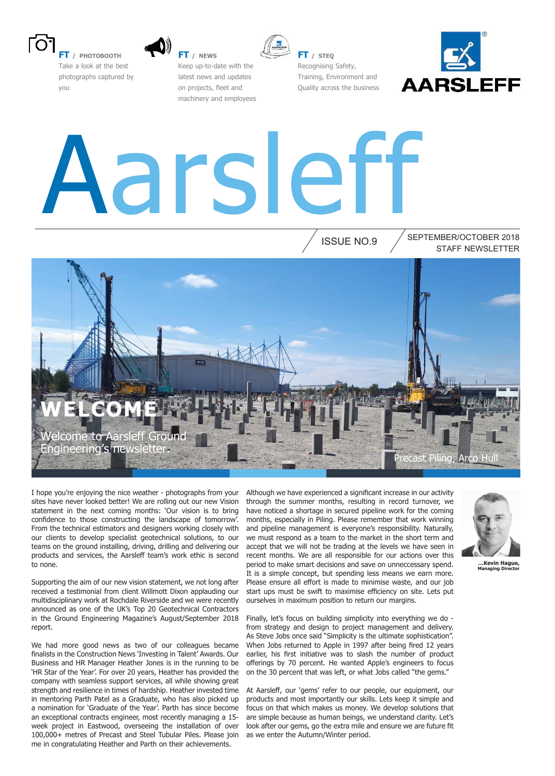

**FT / PHOTOBOOTH** Take a look at the best photographs captured by you



**FT / NEWS** Keep up-to-date with the latest news and updates on projects, fleet and machinery and employees



**FT / STEQ** Recognising Safety, Training, Environment and Quality across the business



# Aarsleff

ISSUE NO.9

STAFF NEWSLETTER SEPTEMBER/OCTOBER 2018



I hope you're enjoying the nice weather - photographs from your sites have never looked better! We are rolling out our new Vision statement in the next coming months: 'Our vision is to bring confidence to those constructing the landscape of tomorrow'. From the technical estimators and designers working closely with our clients to develop specialist geotechnical solutions, to our teams on the ground installing, driving, drilling and delivering our products and services, the Aarsleff team's work ethic is second to none.

Supporting the aim of our new vision statement, we not long after received a testimonial from client Willmott Dixon applauding our multidisciplinary work at Rochdale Riverside and we were recently announced as one of the UK's Top 20 Geotechnical Contractors in the Ground Engineering Magazine's August/September 2018 report.

We had more good news as two of our colleagues became finalists in the Construction News 'Investing in Talent' Awards. Our Business and HR Manager Heather Jones is in the running to be 'HR Star of the Year'. For over 20 years, Heather has provided the company with seamless support services, all while showing great strength and resilience in times of hardship. Heather invested time in mentoring Parth Patel as a Graduate, who has also picked up a nomination for 'Graduate of the Year'. Parth has since become an exceptional contracts engineer, most recently managing a 15 week project in Eastwood, overseeing the installation of over 100,000+ metres of Precast and Steel Tubular Piles. Please join me in congratulating Heather and Parth on their achievements.

Although we have experienced a significant increase in our activity through the summer months, resulting in record turnover, we have noticed a shortage in secured pipeline work for the coming months, especially in Piling. Please remember that work winning and pipeline management is everyone's responsibility. Naturally, we must respond as a team to the market in the short term and accept that we will not be trading at the levels we have seen in recent months. We are all responsible for our actions over this period to make smart decisions and save on unneccessary spend. It is a simple concept, but spending less means we earn more. Please ensure all effort is made to minimise waste, and our job start ups must be swift to maximise efficiency on site. Lets put ourselves in maximum position to return our margins.

Finally, let's focus on building simplicity into everything we do from strategy and design to project management and delivery. As Steve Jobs once said "Simplicity is the ultimate sophistication". When Jobs returned to Apple in 1997 after being fired 12 years earlier, his first initiative was to slash the number of product offerings by 70 percent. He wanted Apple's engineers to focus on the 30 percent that was left, or what Jobs called "the gems."

At Aarslef, our 'gems' refer to our people, our equipment, our products and most importantly our skills. Lets keep it simple and focus on that which makes us money. We develop solutions that are simple because as human beings, we understand clarity. Let's look after our gems, go the extra mile and ensure we are future fit as we enter the Autumn/Winter period.



**…Kevin Hague, Managing Director**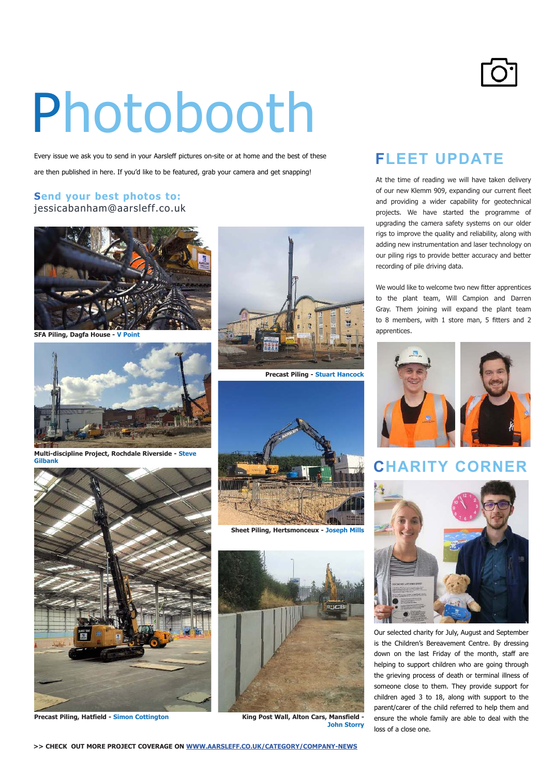## Photobooth

Every issue we ask you to send in your Aarsleff pictures on-site or at home and the best of these are then published in here. If you'd like to be featured, grab your camera and get snapping!

#### **Send your best photos to:** jessicabanham@aarsleff.co.uk



**SFA Piling, Dagfa House - V Point**



**Multi-discipline Project, Rochdale Riverside - Steve Gilbank**



**Precast Piling, Hatfield - Simon Cottington**





**Sheet Piling, Hertsmonceux - Joseph Mills**



**King Post Wall, Alton Cars, Mansfield - John Storry**

#### **FLEET UPDATE**

At the time of reading we will have taken delivery of our new Klemm 909, expanding our current fleet and providing a wider capability for geotechnical projects. We have started the programme of upgrading the camera safety systems on our older rigs to improve the quality and reliability, along with adding new instrumentation and laser technology on our piling rigs to provide better accuracy and better recording of pile driving data.

We would like to welcome two new fitter apprentices to the plant team, Will Campion and Darren Gray. Them joining will expand the plant team to 8 members, with 1 store man, 5 fitters and 2 apprentices.



#### **CHARITY CORNER**



Our selected charity for July, August and September is the Children's Bereavement Centre. By dressing down on the last Friday of the month, staff are helping to support children who are going through the grieving process of death or terminal illness of someone close to them. They provide support for children aged 3 to 18, along with support to the parent/carer of the child referred to help them and ensure the whole family are able to deal with the loss of a close one.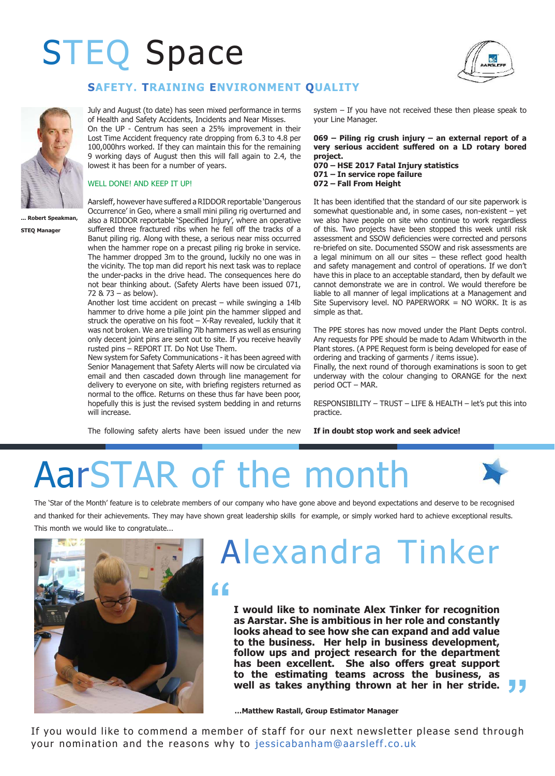### STEQ Space



#### **SAFETY. TRAINING ENVIRONMENT QUALITY**

July and August (to date) has seen mixed performance in terms of Health and Safety Accidents, Incidents and Near Misses.

On the UP - Centrum has seen a 25% improvement in their Lost Time Accident frequency rate dropping from 6.3 to 4.8 per 100,000hrs worked. If they can maintain this for the remaining 9 working days of August then this will fall again to 2.4, the lowest it has been for a number of years.

#### WELL DONE! AND KEEP IT UP!

**... Robert Speakman,** 

**STEQ Manager**

Aarsleff, however have suffered a RIDDOR reportable 'Dangerous Occurrence' in Geo, where a small mini piling rig overturned and also a RIDDOR reportable 'Specified Injury', where an operative suffered three fractured ribs when he fell off the tracks of a Banut piling rig. Along with these, a serious near miss occurred when the hammer rope on a precast piling rig broke in service. The hammer dropped 3m to the ground, luckily no one was in the vicinity. The top man did report his next task was to replace the under-packs in the drive head. The consequences here do not bear thinking about. (Safety Alerts have been issued 071, 72 & 73 – as below).

Another lost time accident on precast – while swinging a 14lb hammer to drive home a pile joint pin the hammer slipped and struck the operative on his foot  $-$  X-Ray revealed, luckily that it was not broken. We are trialling 7lb hammers as well as ensuring only decent joint pins are sent out to site. If you receive heavily rusted pins – REPORT IT. Do Not Use Them.

New system for Safety Communications - it has been agreed with Senior Management that Safety Alerts will now be circulated via email and then cascaded down through line management for delivery to everyone on site, with briefing registers returned as normal to the office. Returns on these thus far have been poor, hopefully this is just the revised system bedding in and returns will increase.

The following safety alerts have been issued under the new

system – If you have not received these then please speak to your Line Manager.

**069 – Piling rig crush injury – an external report of a very serious accident sufered on a LD rotary bored project.**

**070 – HSE 2017 Fatal Injury statistics 071 – In service rope failure 072 – Fall From Height**

It has been identified that the standard of our site paperwork is somewhat questionable and, in some cases, non-existent – yet we also have people on site who continue to work regardless of this. Two projects have been stopped this week until risk assessment and SSOW deficiencies were corrected and persons re-briefed on site. Documented SSOW and risk assessments are a legal minimum on all our sites  $-$  these reflect good health and safety management and control of operations. If we don't have this in place to an acceptable standard, then by default we cannot demonstrate we are in control. We would therefore be liable to all manner of legal implications at a Management and Site Supervisory level. NO PAPERWORK = NO WORK. It is as simple as that.

The PPE stores has now moved under the Plant Depts control. Any requests for PPE should be made to Adam Whitworth in the Plant stores. (A PPE Request form is being developed for ease of ordering and tracking of garments / items issue).

Finally, the next round of thorough examinations is soon to get underway with the colour changing to ORANGE for the next period OCT – MAR.

RESPONSIBILITY – TRUST – LIFE & HEALTH – let's put this into practice.

**"**

#### **If in doubt stop work and seek advice!**



The 'Star of the Month' feature is to celebrate members of our company who have gone above and beyond expectations and deserve to be recognised and thanked for their achievements. They may have shown great leadership skills for example, or simply worked hard to achieve exceptional results. This month we would like to congratulate...



### Alexandra Tinker

### **"**

**I would like to nominate Alex Tinker for recognition as Aarstar. She is ambitious in her role and constantly looks ahead to see how she can expand and add value to the business. Her help in business development, follow ups and project research for the department**  has been excellent. She also offers great support **to the estimating teams across the business, as well as takes anything thrown at her in her stride.** 

**…Matthew Rastall, Group Estimator Manager**

If you would like to commend a member of staff for our next newsletter please send through your nomination and the reasons why to jessicabanham@aarsleff.co.uk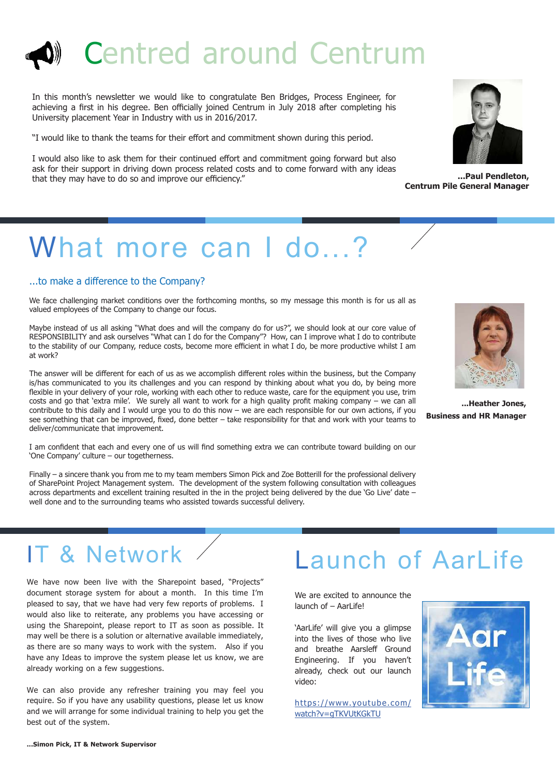### Centred around Centrum

In this month's newsletter we would like to congratulate Ben Bridges, Process Engineer, for achieving a first in his degree. Ben officially joined Centrum in July 2018 after completing his University placement Year in Industry with us in 2016/2017.

"I would like to thank the teams for their effort and commitment shown during this period.

I would also like to ask them for their continued effort and commitment going forward but also ask for their support in driving down process related costs and to come forward with any ideas that they may have to do so and improve our efficiency."

### What more can I do...?

#### ...to make a diference to the Company?

We face challenging market conditions over the forthcoming months, so my message this month is for us all as valued employees of the Company to change our focus.

Maybe instead of us all asking "What does and will the company do for us?", we should look at our core value of RESPONSIBILITY and ask ourselves "What can I do for the Company"? How, can I improve what I do to contribute to the stability of our Company, reduce costs, become more efficient in what I do, be more productive whilst I am at work?

The answer will be diferent for each of us as we accomplish diferent roles within the business, but the Company is/has communicated to you its challenges and you can respond by thinking about what you do, by being more flexible in your delivery of your role, working with each other to reduce waste, care for the equipment you use, trim costs and go that 'extra mile'. We surely all want to work for a high quality profit making company – we can all contribute to this daily and I would urge you to do this now – we are each responsible for our own actions, if you see something that can be improved, fixed, done better – take responsibility for that and work with your teams to deliver/communicate that improvement.

I am conident that each and every one of us will ind something extra we can contribute toward building on our 'One Company' culture – our togetherness.

Finally – a sincere thank you from me to my team members Simon Pick and Zoe Botterill for the professional delivery of SharePoint Project Management system. The development of the system following consultation with colleagues across departments and excellent training resulted in the in the project being delivered by the due 'Go Live' date – well done and to the surrounding teams who assisted towards successful delivery.



**...Paul Pendleton, Centrum Pile General Manager** 



**...Heather Jones, Business and HR Manager**

### IT & Network

We have now been live with the Sharepoint based, "Projects" document storage system for about a month. In this time I'm pleased to say, that we have had very few reports of problems. I would also like to reiterate, any problems you have accessing or using the Sharepoint, please report to IT as soon as possible. It may well be there is a solution or alternative available immediately, as there are so many ways to work with the system. Also if you have any Ideas to improve the system please let us know, we are already working on a few suggestions.

We can also provide any refresher training you may feel you require. So if you have any usability questions, please let us know and we will arrange for some individual training to help you get the best out of the system.

### Launch of AarLife

We are excited to announce the launch of – AarLife!

'AarLife' will give you a glimpse into the lives of those who live and breathe Aarsleff Ground Engineering. If you haven't already, check out our launch video:

https://www.youtube.com/ watch?v=gTKVUtKGkTU

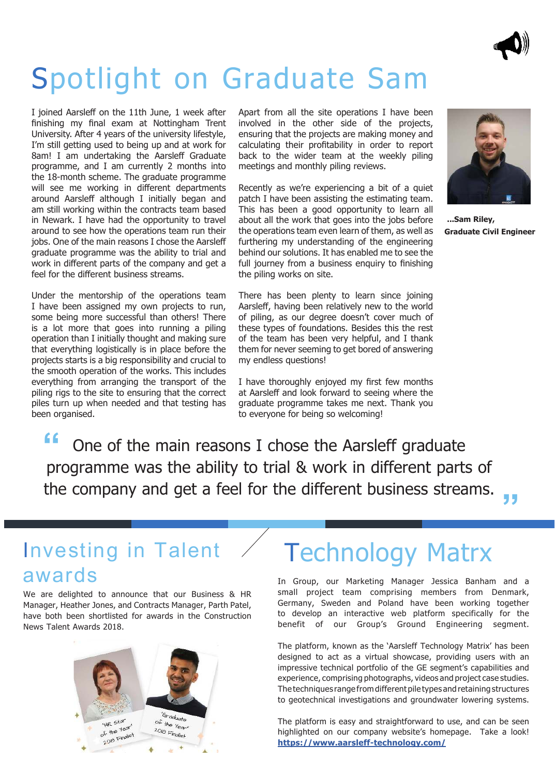

### Spotlight on Graduate Sam

I joined Aarsleff on the 11th June, 1 week after finishing my final exam at Nottingham Trent University. After 4 years of the university lifestyle, I'm still getting used to being up and at work for 8am! I am undertaking the Aarsleff Graduate programme, and I am currently 2 months into the 18-month scheme. The graduate programme will see me working in diferent departments around Aarsleff although I initially began and am still working within the contracts team based in Newark. I have had the opportunity to travel around to see how the operations team run their jobs. One of the main reasons I chose the Aarsleff graduate programme was the ability to trial and work in diferent parts of the company and get a feel for the diferent business streams.

Under the mentorship of the operations team I have been assigned my own projects to run, some being more successful than others! There is a lot more that goes into running a piling operation than I initially thought and making sure that everything logistically is in place before the projects starts is a big responsibility and crucial to the smooth operation of the works. This includes everything from arranging the transport of the piling rigs to the site to ensuring that the correct piles turn up when needed and that testing has been organised.

Apart from all the site operations I have been involved in the other side of the projects, ensuring that the projects are making money and calculating their profitability in order to report back to the wider team at the weekly piling meetings and monthly piling reviews.

Recently as we're experiencing a bit of a quiet patch I have been assisting the estimating team. This has been a good opportunity to learn all about all the work that goes into the jobs before the operations team even learn of them, as well as furthering my understanding of the engineering behind our solutions. It has enabled me to see the full journey from a business enquiry to finishing the piling works on site.

There has been plenty to learn since joining Aarsleff, having been relatively new to the world of piling, as our degree doesn't cover much of these types of foundations. Besides this the rest of the team has been very helpful, and I thank them for never seeming to get bored of answering my endless questions!

I have thoroughly enjoyed my first few months at Aarsleff and look forward to seeing where the graduate programme takes me next. Thank you to everyone for being so welcoming!



**...Sam Riley, Graduate Civil Engineer** 

**" "** One of the main reasons I chose the Aarsleff graduate programme was the ability to trial & work in different parts of the company and get a feel for the different business streams.

#### Investing in Talent awards

We are delighted to announce that our Business & HR Manager, Heather Jones, and Contracts Manager, Parth Patel, have both been shortlisted for awards in the Construction News Talent Awards 2018.



### Technology Matrx

In Group, our Marketing Manager Jessica Banham and a small project team comprising members from Denmark, Germany, Sweden and Poland have been working together to develop an interactive web platform specifically for the benefit of our Group's Ground Engineering segment.

The platform, known as the 'Aarsleff Technology Matrix' has been designed to act as a virtual showcase, providing users with an impressive technical portfolio of the GE segment's capabilities and experience, comprising photographs, videos and project case studies. The techniques range from different pile types and retaining structures to geotechnical investigations and groundwater lowering systems.

The platform is easy and straightforward to use, and can be seen highlighted on our company website's homepage. Take a look! **https://www.aarsleff-technology.com/**